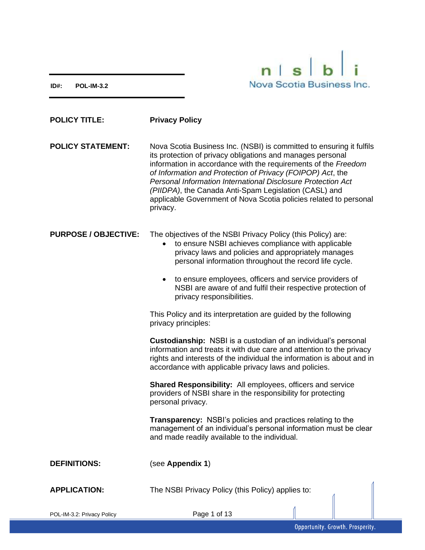**ID#: POL-IM-3.2**



| <b>POLICY TITLE:</b>        | <b>Privacy Policy</b>                                                                                                                                                                                                                                                                                                                                                                                                                                                        |
|-----------------------------|------------------------------------------------------------------------------------------------------------------------------------------------------------------------------------------------------------------------------------------------------------------------------------------------------------------------------------------------------------------------------------------------------------------------------------------------------------------------------|
| <b>POLICY STATEMENT:</b>    | Nova Scotia Business Inc. (NSBI) is committed to ensuring it fulfils<br>its protection of privacy obligations and manages personal<br>information in accordance with the requirements of the Freedom<br>of Information and Protection of Privacy (FOIPOP) Act, the<br>Personal Information International Disclosure Protection Act<br>(PIIDPA), the Canada Anti-Spam Legislation (CASL) and<br>applicable Government of Nova Scotia policies related to personal<br>privacy. |
| <b>PURPOSE / OBJECTIVE:</b> | The objectives of the NSBI Privacy Policy (this Policy) are:<br>to ensure NSBI achieves compliance with applicable<br>$\bullet$<br>privacy laws and policies and appropriately manages<br>personal information throughout the record life cycle.<br>to ensure employees, officers and service providers of<br>٠<br>NSBI are aware of and fulfil their respective protection of<br>privacy responsibilities.                                                                  |
|                             | This Policy and its interpretation are guided by the following<br>privacy principles:                                                                                                                                                                                                                                                                                                                                                                                        |
|                             | <b>Custodianship:</b> NSBI is a custodian of an individual's personal<br>information and treats it with due care and attention to the privacy<br>rights and interests of the individual the information is about and in<br>accordance with applicable privacy laws and policies.                                                                                                                                                                                             |
|                             | Shared Responsibility: All employees, officers and service<br>providers of NSBI share in the responsibility for protecting<br>personal privacy.                                                                                                                                                                                                                                                                                                                              |
|                             | <b>Transparency:</b> NSBI's policies and practices relating to the<br>management of an individual's personal information must be clear<br>and made readily available to the individual.                                                                                                                                                                                                                                                                                      |
| <b>DEFINITIONS:</b>         | (see Appendix 1)                                                                                                                                                                                                                                                                                                                                                                                                                                                             |
| <b>APPLICATION:</b>         | The NSBI Privacy Policy (this Policy) applies to:                                                                                                                                                                                                                                                                                                                                                                                                                            |
| POL-IM-3.2: Privacy Policy  | Page 1 of 13                                                                                                                                                                                                                                                                                                                                                                                                                                                                 |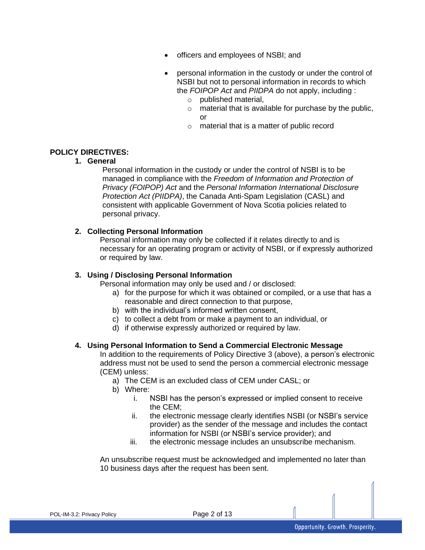- officers and employees of NSBI; and
- personal information in the custody or under the control of NSBI but not to personal information in records to which the *FOIPOP Act* and *PIIDPA* do not apply, including :
	- o published material,
	- $\circ$  material that is available for purchase by the public. or
	- o material that is a matter of public record

#### **POLICY DIRECTIVES:**

#### **1. General**

Personal information in the custody or under the control of NSBI is to be managed in compliance with the *Freedom of Information and Protection of Privacy (FOIPOP) Act* and the *Personal Information International Disclosure Protection Act (PIIDPA)*, the Canada Anti-Spam Legislation (CASL) and consistent with applicable Government of Nova Scotia policies related to personal privacy.

#### **2. Collecting Personal Information**

Personal information may only be collected if it relates directly to and is necessary for an operating program or activity of NSBI, or if expressly authorized or required by law.

#### **3. Using / Disclosing Personal Information**

Personal information may only be used and / or disclosed:

- a) for the purpose for which it was obtained or compiled, or a use that has a reasonable and direct connection to that purpose,
- b) with the individual's informed written consent,
- c) to collect a debt from or make a payment to an individual, or
- d) if otherwise expressly authorized or required by law.

#### **4. Using Personal Information to Send a Commercial Electronic Message**

In addition to the requirements of Policy Directive 3 (above), a person's electronic address must not be used to send the person a commercial electronic message (CEM) unless:

- a) The CEM is an excluded class of CEM under CASL; or
- b) Where:
	- i. NSBI has the person's expressed or implied consent to receive the CEM;
	- ii. the electronic message clearly identifies NSBI (or NSBI's service provider) as the sender of the message and includes the contact information for NSBI (or NSBI's service provider); and
	- iii. the electronic message includes an unsubscribe mechanism.

An unsubscribe request must be acknowledged and implemented no later than 10 business days after the request has been sent.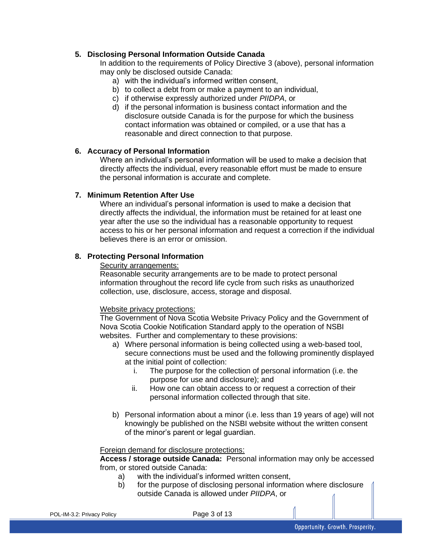## **5. Disclosing Personal Information Outside Canada**

In addition to the requirements of Policy Directive 3 (above), personal information may only be disclosed outside Canada:

- a) with the individual's informed written consent,
- b) to collect a debt from or make a payment to an individual,
- c) if otherwise expressly authorized under *PIIDPA*, or
- d) if the personal information is business contact information and the disclosure outside Canada is for the purpose for which the business contact information was obtained or compiled, or a use that has a reasonable and direct connection to that purpose.

#### **6. Accuracy of Personal Information**

Where an individual's personal information will be used to make a decision that directly affects the individual, every reasonable effort must be made to ensure the personal information is accurate and complete.

#### **7. Minimum Retention After Use**

Where an individual's personal information is used to make a decision that directly affects the individual, the information must be retained for at least one year after the use so the individual has a reasonable opportunity to request access to his or her personal information and request a correction if the individual believes there is an error or omission.

#### **8. Protecting Personal Information**

#### Security arrangements:

Reasonable security arrangements are to be made to protect personal information throughout the record life cycle from such risks as unauthorized collection, use, disclosure, access, storage and disposal.

#### Website privacy protections:

The Government of Nova Scotia Website Privacy Policy and the Government of Nova Scotia Cookie Notification Standard apply to the operation of NSBI websites. Further and complementary to these provisions:

- a) Where personal information is being collected using a web-based tool, secure connections must be used and the following prominently displayed at the initial point of collection:
	- i. The purpose for the collection of personal information (i.e. the purpose for use and disclosure); and
	- ii. How one can obtain access to or request a correction of their personal information collected through that site.
- b) Personal information about a minor (i.e. less than 19 years of age) will not knowingly be published on the NSBI website without the written consent of the minor's parent or legal guardian.

#### Foreign demand for disclosure protections:

**Access / storage outside Canada:** Personal information may only be accessed from, or stored outside Canada:

- a) with the individual's informed written consent,
- b) for the purpose of disclosing personal information where disclosure outside Canada is allowed under *PIIDPA*, or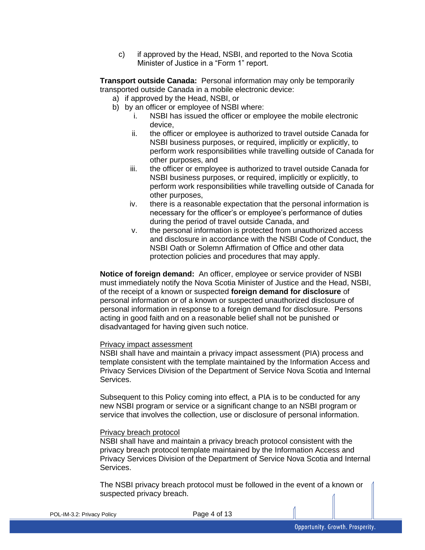c) if approved by the Head, NSBI, and reported to the Nova Scotia Minister of Justice in a "Form 1" report.

**Transport outside Canada:** Personal information may only be temporarily transported outside Canada in a mobile electronic device:

- a) if approved by the Head, NSBI, or
- b) by an officer or employee of NSBI where:
	- i. NSBI has issued the officer or employee the mobile electronic device,
	- ii. the officer or employee is authorized to travel outside Canada for NSBI business purposes, or required, implicitly or explicitly, to perform work responsibilities while travelling outside of Canada for other purposes, and
	- iii. the officer or employee is authorized to travel outside Canada for NSBI business purposes, or required, implicitly or explicitly, to perform work responsibilities while travelling outside of Canada for other purposes,
	- iv. there is a reasonable expectation that the personal information is necessary for the officer's or employee's performance of duties during the period of travel outside Canada, and
	- v. the personal information is protected from unauthorized access and disclosure in accordance with the NSBI Code of Conduct, the NSBI Oath or Solemn Affirmation of Office and other data protection policies and procedures that may apply.

**Notice of foreign demand:** An officer, employee or service provider of NSBI must immediately notify the Nova Scotia Minister of Justice and the Head, NSBI, of the receipt of a known or suspected **foreign demand for disclosure** of personal information or of a known or suspected unauthorized disclosure of personal information in response to a foreign demand for disclosure. Persons acting in good faith and on a reasonable belief shall not be punished or disadvantaged for having given such notice.

#### Privacy impact assessment

NSBI shall have and maintain a privacy impact assessment (PIA) process and template consistent with the template maintained by the Information Access and Privacy Services Division of the Department of Service Nova Scotia and Internal Services.

Subsequent to this Policy coming into effect, a PIA is to be conducted for any new NSBI program or service or a significant change to an NSBI program or service that involves the collection, use or disclosure of personal information.

#### Privacy breach protocol

NSBI shall have and maintain a privacy breach protocol consistent with the privacy breach protocol template maintained by the Information Access and Privacy Services Division of the Department of Service Nova Scotia and Internal Services.

The NSBI privacy breach protocol must be followed in the event of a known or suspected privacy breach.

POL-IM-3.2: Privacy Policy **Page 4 of 13**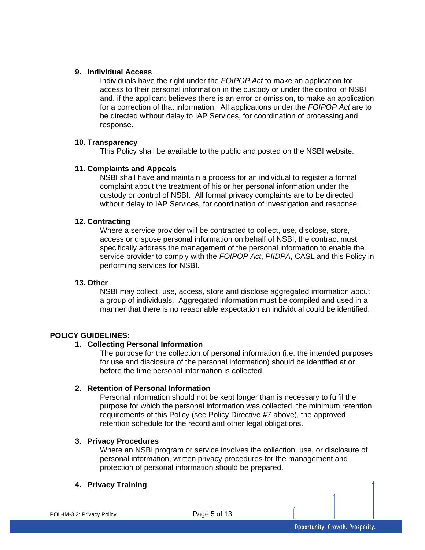#### **9. Individual Access**

Individuals have the right under the *FOIPOP Act* to make an application for access to their personal information in the custody or under the control of NSBI and, if the applicant believes there is an error or omission, to make an application for a correction of that information. All applications under the *FOIPOP Act* are to be directed without delay to IAP Services, for coordination of processing and response.

#### **10. Transparency**

This Policy shall be available to the public and posted on the NSBI website.

#### **11. Complaints and Appeals**

NSBI shall have and maintain a process for an individual to register a formal complaint about the treatment of his or her personal information under the custody or control of NSBI. All formal privacy complaints are to be directed without delay to IAP Services, for coordination of investigation and response.

#### **12. Contracting**

Where a service provider will be contracted to collect, use, disclose, store, access or dispose personal information on behalf of NSBI, the contract must specifically address the management of the personal information to enable the service provider to comply with the *FOIPOP Act*, *PIIDPA*, CASL and this Policy in performing services for NSBI.

#### **13. Other**

NSBI may collect, use, access, store and disclose aggregated information about a group of individuals. Aggregated information must be compiled and used in a manner that there is no reasonable expectation an individual could be identified.

## **POLICY GUIDELINES:**

#### **1. Collecting Personal Information**

The purpose for the collection of personal information (i.e. the intended purposes for use and disclosure of the personal information) should be identified at or before the time personal information is collected.

#### **2. Retention of Personal Information**

Personal information should not be kept longer than is necessary to fulfil the purpose for which the personal information was collected, the minimum retention requirements of this Policy (see Policy Directive #7 above), the approved retention schedule for the record and other legal obligations.

#### **3. Privacy Procedures**

Where an NSBI program or service involves the collection, use, or disclosure of personal information, written privacy procedures for the management and protection of personal information should be prepared.

## **4. Privacy Training**

Page 5 of 13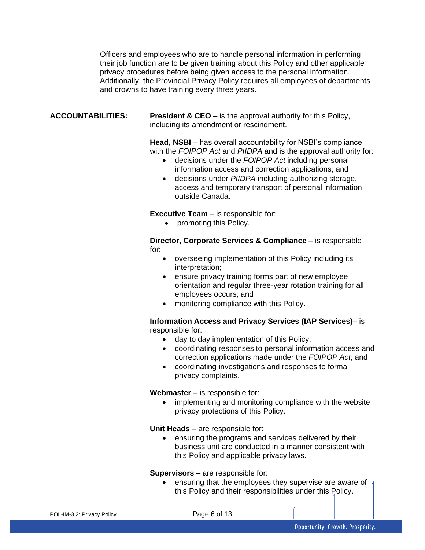Officers and employees who are to handle personal information in performing their job function are to be given training about this Policy and other applicable privacy procedures before being given access to the personal information. Additionally, the Provincial Privacy Policy requires all employees of departments and crowns to have training every three years.

**ACCOUNTABILITIES: President & CEO** – is the approval authority for this Policy, including its amendment or rescindment.

> **Head, NSBI** – has overall accountability for NSBI's compliance with the *FOIPOP Act* and *PIIDPA* and is the approval authority for:

- decisions under the *FOIPOP Act* including personal information access and correction applications; and
- decisions under *PIIDPA* including authorizing storage, access and temporary transport of personal information outside Canada.

**Executive Team** – is responsible for:

• promoting this Policy.

**Director, Corporate Services & Compliance** – is responsible for:

- overseeing implementation of this Policy including its interpretation;
- ensure privacy training forms part of new employee orientation and regular three-year rotation training for all employees occurs; and
- monitoring compliance with this Policy.

**Information Access and Privacy Services (IAP Services)**– is responsible for:

- day to day implementation of this Policy;
- coordinating responses to personal information access and correction applications made under the *FOIPOP Act*; and
- coordinating investigations and responses to formal privacy complaints.

**Webmaster** – is responsible for:

implementing and monitoring compliance with the website privacy protections of this Policy.

**Unit Heads** – are responsible for:

• ensuring the programs and services delivered by their business unit are conducted in a manner consistent with this Policy and applicable privacy laws.

**Supervisors** – are responsible for:

• ensuring that the employees they supervise are aware of this Policy and their responsibilities under this Policy.

Page 6 of 13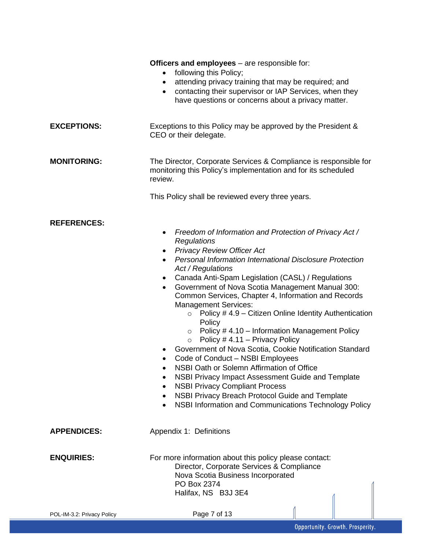|                            | <b>Officers and employees</b> – are responsible for:<br>following this Policy;<br>$\bullet$<br>attending privacy training that may be required; and<br>$\bullet$<br>contacting their supervisor or IAP Services, when they<br>$\bullet$<br>have questions or concerns about a privacy matter.                                                                                                                                                                                                                                                                                                                                                                                                                                                                                                                                                                                                                                                                                            |
|----------------------------|------------------------------------------------------------------------------------------------------------------------------------------------------------------------------------------------------------------------------------------------------------------------------------------------------------------------------------------------------------------------------------------------------------------------------------------------------------------------------------------------------------------------------------------------------------------------------------------------------------------------------------------------------------------------------------------------------------------------------------------------------------------------------------------------------------------------------------------------------------------------------------------------------------------------------------------------------------------------------------------|
| <b>EXCEPTIONS:</b>         | Exceptions to this Policy may be approved by the President &<br>CEO or their delegate.                                                                                                                                                                                                                                                                                                                                                                                                                                                                                                                                                                                                                                                                                                                                                                                                                                                                                                   |
| <b>MONITORING:</b>         | The Director, Corporate Services & Compliance is responsible for<br>monitoring this Policy's implementation and for its scheduled<br>review.<br>This Policy shall be reviewed every three years.                                                                                                                                                                                                                                                                                                                                                                                                                                                                                                                                                                                                                                                                                                                                                                                         |
| <b>REFERENCES:</b>         | Freedom of Information and Protection of Privacy Act /<br>Regulations<br><b>Privacy Review Officer Act</b><br>٠<br><b>Personal Information International Disclosure Protection</b><br>$\bullet$<br>Act / Regulations<br>Canada Anti-Spam Legislation (CASL) / Regulations<br>$\bullet$<br>Government of Nova Scotia Management Manual 300:<br>$\bullet$<br>Common Services, Chapter 4, Information and Records<br><b>Management Services:</b><br>Policy #4.9 - Citizen Online Identity Authentication<br>$\circ$<br>Policy<br>Policy #4.10 - Information Management Policy<br>$\circ$<br>Policy # 4.11 - Privacy Policy<br>$\circ$<br>Government of Nova Scotia, Cookie Notification Standard<br>Code of Conduct - NSBI Employees<br>NSBI Oath or Solemn Affirmation of Office<br>NSBI Privacy Impact Assessment Guide and Template<br><b>NSBI Privacy Compliant Process</b><br>NSBI Privacy Breach Protocol Guide and Template<br>NSBI Information and Communications Technology Policy |
| <b>APPENDICES:</b>         | Appendix 1: Definitions                                                                                                                                                                                                                                                                                                                                                                                                                                                                                                                                                                                                                                                                                                                                                                                                                                                                                                                                                                  |
| <b>ENQUIRIES:</b>          | For more information about this policy please contact:<br>Director, Corporate Services & Compliance<br>Nova Scotia Business Incorporated<br>PO Box 2374<br>Halifax, NS B3J 3E4                                                                                                                                                                                                                                                                                                                                                                                                                                                                                                                                                                                                                                                                                                                                                                                                           |
| POL-IM-3.2: Privacy Policy | Page 7 of 13                                                                                                                                                                                                                                                                                                                                                                                                                                                                                                                                                                                                                                                                                                                                                                                                                                                                                                                                                                             |
|                            | Opportunity. Growth. Prosperity.                                                                                                                                                                                                                                                                                                                                                                                                                                                                                                                                                                                                                                                                                                                                                                                                                                                                                                                                                         |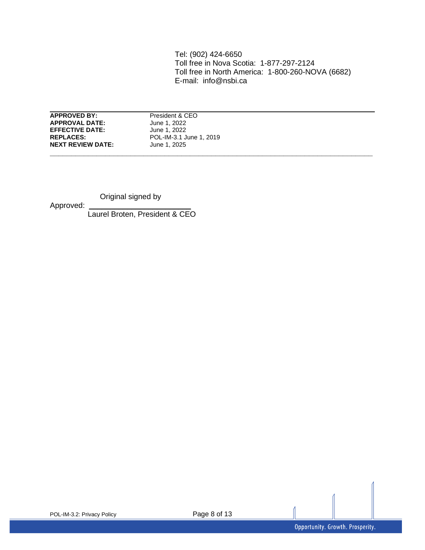Tel: (902) 424-6650 Toll free in Nova Scotia: 1-877-297-2124 Toll free in North America: 1-800-260-NOVA (6682) E-mail: info@nsbi.ca

**APPROVED BY:** President & CEO **APPROVAL DATE:** June 1, 2022<br> **EFFECTIVE DATE:** June 1, 2022 **EFFECTIVE DATE: NEXT REVIEW DATE:** 

**REPLACES:** POL-IM-3.1 June 1, 2019<br>**NEXT REVIEW DATE:** June 1, 2025

**\_\_\_\_\_\_\_\_\_\_\_\_\_\_\_\_\_\_\_\_\_\_\_\_\_\_\_\_\_\_\_\_\_\_\_\_\_\_\_\_\_\_\_\_\_\_\_\_\_\_\_\_\_\_\_\_\_\_\_\_\_\_\_\_\_\_\_\_\_\_\_\_\_\_\_\_**

Original signed by

Approved:

Laurel Broten, President & CEO

1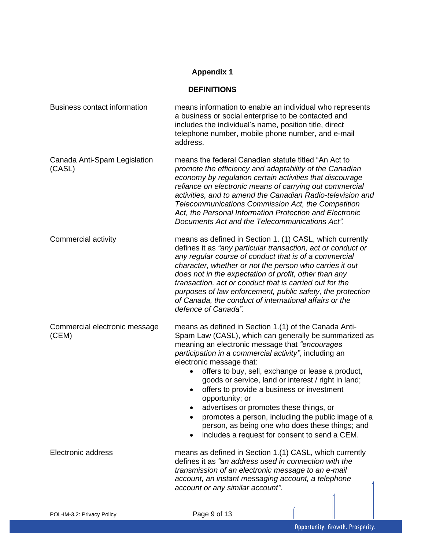# **Appendix 1**

#### **DEFINITIONS**

| <b>Business contact information</b>    | means information to enable an individual who represents<br>a business or social enterprise to be contacted and<br>includes the individual's name, position title, direct<br>telephone number, mobile phone number, and e-mail<br>address.                                                                                                                                                                                                                                                                                                        |
|----------------------------------------|---------------------------------------------------------------------------------------------------------------------------------------------------------------------------------------------------------------------------------------------------------------------------------------------------------------------------------------------------------------------------------------------------------------------------------------------------------------------------------------------------------------------------------------------------|
| Canada Anti-Spam Legislation<br>(CASL) | means the federal Canadian statute titled "An Act to<br>promote the efficiency and adaptability of the Canadian<br>economy by regulation certain activities that discourage<br>reliance on electronic means of carrying out commercial<br>activities, and to amend the Canadian Radio-television and<br>Telecommunications Commission Act, the Competition<br>Act, the Personal Information Protection and Electronic<br>Documents Act and the Telecommunications Act".                                                                           |
| Commercial activity                    | means as defined in Section 1. (1) CASL, which currently<br>defines it as "any particular transaction, act or conduct or<br>any regular course of conduct that is of a commercial<br>character, whether or not the person who carries it out<br>does not in the expectation of profit, other than any<br>transaction, act or conduct that is carried out for the<br>purposes of law enforcement, public safety, the protection<br>of Canada, the conduct of international affairs or the<br>defence of Canada".                                   |
| Commercial electronic message<br>(CEM) | means as defined in Section 1.(1) of the Canada Anti-<br>Spam Law (CASL), which can generally be summarized as<br>meaning an electronic message that "encourages"<br>participation in a commercial activity", including an<br>electronic message that:<br>offers to buy, sell, exchange or lease a product,<br>goods or service, land or interest / right in land;<br>offers to provide a business or investment<br>$\bullet$<br>opportunity; or<br>advertises or promotes these things, or<br>promotes a person, including the public image of a |
|                                        | person, as being one who does these things; and<br>includes a request for consent to send a CEM.                                                                                                                                                                                                                                                                                                                                                                                                                                                  |
| Electronic address                     | means as defined in Section 1.(1) CASL, which currently<br>defines it as "an address used in connection with the<br>transmission of an electronic message to an e-mail<br>account, an instant messaging account, a telephone<br>account or any similar account".                                                                                                                                                                                                                                                                                  |
| POL-IM-3.2: Privacy Policy             | Page 9 of 13                                                                                                                                                                                                                                                                                                                                                                                                                                                                                                                                      |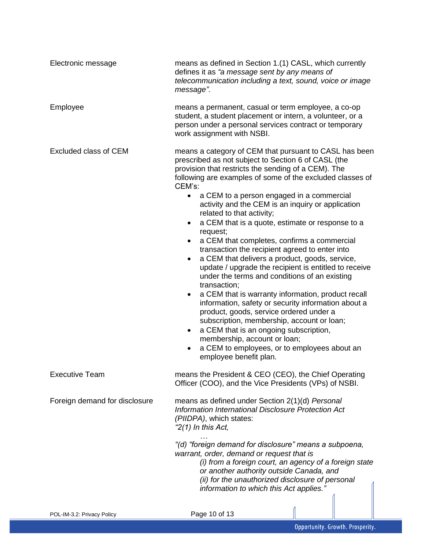| Electronic message            | means as defined in Section 1.(1) CASL, which currently<br>defines it as "a message sent by any means of<br>telecommunication including a text, sound, voice or image<br>message".                                                                                                                                                                                                                                                                                                                                                                                                                                                                                                                                                                                                                                                                                                                                                                                                                                                                                                                                                                           |
|-------------------------------|--------------------------------------------------------------------------------------------------------------------------------------------------------------------------------------------------------------------------------------------------------------------------------------------------------------------------------------------------------------------------------------------------------------------------------------------------------------------------------------------------------------------------------------------------------------------------------------------------------------------------------------------------------------------------------------------------------------------------------------------------------------------------------------------------------------------------------------------------------------------------------------------------------------------------------------------------------------------------------------------------------------------------------------------------------------------------------------------------------------------------------------------------------------|
| Employee                      | means a permanent, casual or term employee, a co-op<br>student, a student placement or intern, a volunteer, or a<br>person under a personal services contract or temporary<br>work assignment with NSBI.                                                                                                                                                                                                                                                                                                                                                                                                                                                                                                                                                                                                                                                                                                                                                                                                                                                                                                                                                     |
| <b>Excluded class of CEM</b>  | means a category of CEM that pursuant to CASL has been<br>prescribed as not subject to Section 6 of CASL (the<br>provision that restricts the sending of a CEM). The<br>following are examples of some of the excluded classes of<br>CEM's:<br>a CEM to a person engaged in a commercial<br>$\bullet$<br>activity and the CEM is an inquiry or application<br>related to that activity;<br>a CEM that is a quote, estimate or response to a<br>$\bullet$<br>request;<br>a CEM that completes, confirms a commercial<br>٠<br>transaction the recipient agreed to enter into<br>a CEM that delivers a product, goods, service,<br>$\bullet$<br>update / upgrade the recipient is entitled to receive<br>under the terms and conditions of an existing<br>transaction;<br>a CEM that is warranty information, product recall<br>٠<br>information, safety or security information about a<br>product, goods, service ordered under a<br>subscription, membership, account or loan;<br>a CEM that is an ongoing subscription,<br>$\bullet$<br>membership, account or loan;<br>a CEM to employees, or to employees about an<br>$\bullet$<br>employee benefit plan. |
| <b>Executive Team</b>         | means the President & CEO (CEO), the Chief Operating<br>Officer (COO), and the Vice Presidents (VPs) of NSBI.                                                                                                                                                                                                                                                                                                                                                                                                                                                                                                                                                                                                                                                                                                                                                                                                                                                                                                                                                                                                                                                |
| Foreign demand for disclosure | means as defined under Section 2(1)(d) Personal<br>Information International Disclosure Protection Act<br>(PIIDPA), which states:<br>"2(1) In this Act,<br>"(d) "foreign demand for disclosure" means a subpoena,<br>warrant, order, demand or request that is<br>(i) from a foreign court, an agency of a foreign state<br>or another authority outside Canada, and<br>(ii) for the unauthorized disclosure of personal<br>information to which this Act applies."                                                                                                                                                                                                                                                                                                                                                                                                                                                                                                                                                                                                                                                                                          |
| POL-IM-3.2: Privacy Policy    | Page 10 of 13                                                                                                                                                                                                                                                                                                                                                                                                                                                                                                                                                                                                                                                                                                                                                                                                                                                                                                                                                                                                                                                                                                                                                |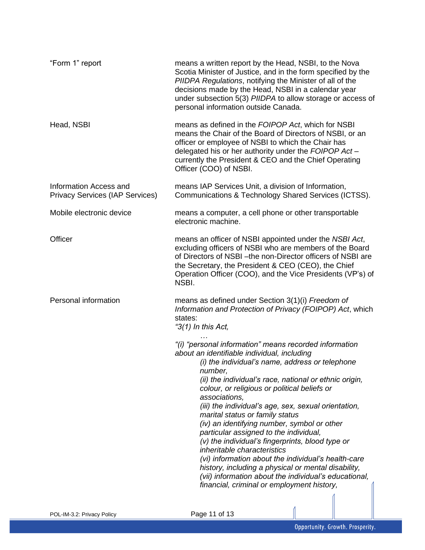| "Form 1" report                                                  | means a written report by the Head, NSBI, to the Nova<br>Scotia Minister of Justice, and in the form specified by the<br>PIIDPA Regulations, notifying the Minister of all of the<br>decisions made by the Head, NSBI in a calendar year<br>under subsection 5(3) PIIDPA to allow storage or access of<br>personal information outside Canada.                                                                                                                                                                                                                                                                                                                                                                                                                                             |
|------------------------------------------------------------------|--------------------------------------------------------------------------------------------------------------------------------------------------------------------------------------------------------------------------------------------------------------------------------------------------------------------------------------------------------------------------------------------------------------------------------------------------------------------------------------------------------------------------------------------------------------------------------------------------------------------------------------------------------------------------------------------------------------------------------------------------------------------------------------------|
| Head, NSBI                                                       | means as defined in the FOIPOP Act, which for NSBI<br>means the Chair of the Board of Directors of NSBI, or an<br>officer or employee of NSBI to which the Chair has<br>delegated his or her authority under the FOIPOP Act-<br>currently the President & CEO and the Chief Operating<br>Officer (COO) of NSBI.                                                                                                                                                                                                                                                                                                                                                                                                                                                                            |
| Information Access and<br><b>Privacy Services (IAP Services)</b> | means IAP Services Unit, a division of Information,<br>Communications & Technology Shared Services (ICTSS).                                                                                                                                                                                                                                                                                                                                                                                                                                                                                                                                                                                                                                                                                |
| Mobile electronic device                                         | means a computer, a cell phone or other transportable<br>electronic machine.                                                                                                                                                                                                                                                                                                                                                                                                                                                                                                                                                                                                                                                                                                               |
| Officer                                                          | means an officer of NSBI appointed under the NSBI Act,<br>excluding officers of NSBI who are members of the Board<br>of Directors of NSBI-the non-Director officers of NSBI are<br>the Secretary, the President & CEO (CEO), the Chief<br>Operation Officer (COO), and the Vice Presidents (VP's) of<br>NSBI.                                                                                                                                                                                                                                                                                                                                                                                                                                                                              |
| Personal information                                             | means as defined under Section 3(1)(i) Freedom of<br>Information and Protection of Privacy (FOIPOP) Act, which<br>states:<br>"3(1) In this Act,                                                                                                                                                                                                                                                                                                                                                                                                                                                                                                                                                                                                                                            |
|                                                                  | "(i) "personal information" means recorded information<br>about an identifiable individual, including<br>(i) the individual's name, address or telephone<br>numper,<br>(ii) the individual's race, national or ethnic origin,<br>colour, or religious or political beliefs or<br>associations,<br>(iii) the individual's age, sex, sexual orientation,<br>marital status or family status<br>(iv) an identifying number, symbol or other<br>particular assigned to the individual,<br>(v) the individual's fingerprints, blood type or<br>inheritable characteristics<br>(vi) information about the individual's health-care<br>history, including a physical or mental disability,<br>(vii) information about the individual's educational,<br>financial, criminal or employment history, |

 $\Lambda$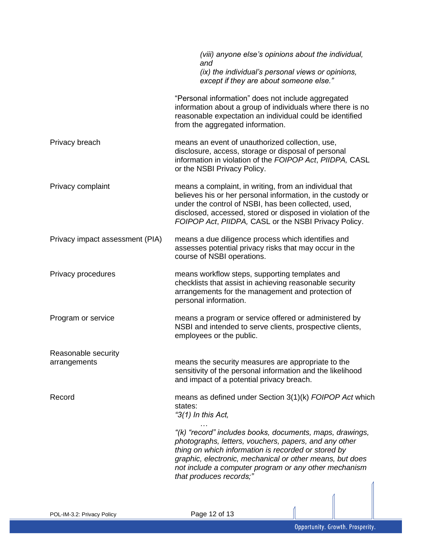|                                     | (viii) anyone else's opinions about the individual,<br>and<br>(ix) the individual's personal views or opinions,                                                                                                                                                                                                          |
|-------------------------------------|--------------------------------------------------------------------------------------------------------------------------------------------------------------------------------------------------------------------------------------------------------------------------------------------------------------------------|
|                                     | except if they are about someone else."                                                                                                                                                                                                                                                                                  |
|                                     | "Personal information" does not include aggregated<br>information about a group of individuals where there is no<br>reasonable expectation an individual could be identified<br>from the aggregated information.                                                                                                         |
| Privacy breach                      | means an event of unauthorized collection, use,<br>disclosure, access, storage or disposal of personal<br>information in violation of the FOIPOP Act, PIIDPA, CASL<br>or the NSBI Privacy Policy.                                                                                                                        |
| Privacy complaint                   | means a complaint, in writing, from an individual that<br>believes his or her personal information, in the custody or<br>under the control of NSBI, has been collected, used,<br>disclosed, accessed, stored or disposed in violation of the<br>FOIPOP Act, PIIDPA, CASL or the NSBI Privacy Policy.                     |
| Privacy impact assessment (PIA)     | means a due diligence process which identifies and<br>assesses potential privacy risks that may occur in the<br>course of NSBI operations.                                                                                                                                                                               |
| Privacy procedures                  | means workflow steps, supporting templates and<br>checklists that assist in achieving reasonable security<br>arrangements for the management and protection of<br>personal information.                                                                                                                                  |
| Program or service                  | means a program or service offered or administered by<br>NSBI and intended to serve clients, prospective clients,<br>employees or the public.                                                                                                                                                                            |
| Reasonable security<br>arrangements | means the security measures are appropriate to the<br>sensitivity of the personal information and the likelihood<br>and impact of a potential privacy breach.                                                                                                                                                            |
| Record                              | means as defined under Section 3(1)(k) FOIPOP Act which<br>states:<br>"3(1) In this Act,                                                                                                                                                                                                                                 |
|                                     | "(k) "record" includes books, documents, maps, drawings,<br>photographs, letters, vouchers, papers, and any other<br>thing on which information is recorded or stored by<br>graphic, electronic, mechanical or other means, but does<br>not include a computer program or any other mechanism<br>that produces records;" |
|                                     |                                                                                                                                                                                                                                                                                                                          |
| POL-IM-3.2: Privacy Policy          | Page 12 of 13                                                                                                                                                                                                                                                                                                            |